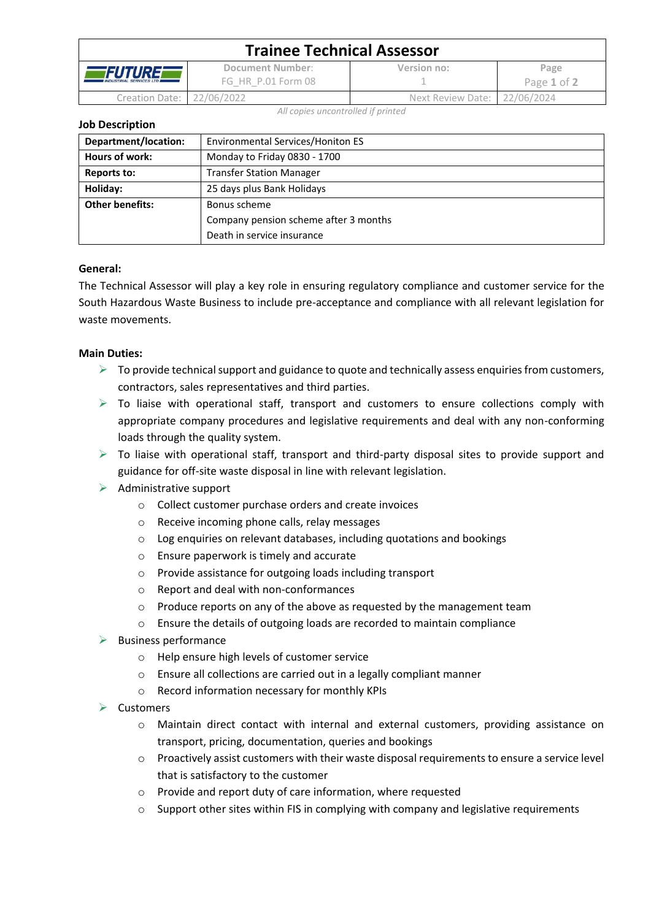| <b>Trainee Technical Assessor</b>                            |                                        |                              |                     |  |  |
|--------------------------------------------------------------|----------------------------------------|------------------------------|---------------------|--|--|
| <i><b>ÆFUTUREF</b></i><br><b>INDUSTRIAL SERVICES LTD III</b> | Document Number:<br>FG HR P.01 Form 08 | Version no:                  | Page<br>Page 1 of 2 |  |  |
| Creation Date:   22/06/2022                                  |                                        | Next Review Date: 22/06/2024 |                     |  |  |

*All copies uncontrolled if printed*

**Job Description**

| Department/location:   | Environmental Services/Honiton ES     |  |
|------------------------|---------------------------------------|--|
| Hours of work:         | Monday to Friday 0830 - 1700          |  |
| Reports to:            | <b>Transfer Station Manager</b>       |  |
| Holiday:               | 25 days plus Bank Holidays            |  |
| <b>Other benefits:</b> | Bonus scheme                          |  |
|                        | Company pension scheme after 3 months |  |
|                        | Death in service insurance            |  |

# **General:**

The Technical Assessor will play a key role in ensuring regulatory compliance and customer service for the South Hazardous Waste Business to include pre-acceptance and compliance with all relevant legislation for waste movements.

# **Main Duties:**

- $\triangleright$  To provide technical support and guidance to quote and technically assess enquiries from customers, contractors, sales representatives and third parties.
- $\triangleright$  To liaise with operational staff, transport and customers to ensure collections comply with appropriate company procedures and legislative requirements and deal with any non-conforming loads through the quality system.
- $\triangleright$  To liaise with operational staff, transport and third-party disposal sites to provide support and guidance for off-site waste disposal in line with relevant legislation.
- $\triangleright$  Administrative support
	- o Collect customer purchase orders and create invoices
	- o Receive incoming phone calls, relay messages
	- o Log enquiries on relevant databases, including quotations and bookings
	- o Ensure paperwork is timely and accurate
	- o Provide assistance for outgoing loads including transport
	- o Report and deal with non-conformances
	- o Produce reports on any of the above as requested by the management team
	- o Ensure the details of outgoing loads are recorded to maintain compliance
- $\triangleright$  Business performance
	- o Help ensure high levels of customer service
	- o Ensure all collections are carried out in a legally compliant manner
	- o Record information necessary for monthly KPIs
- ➢ Customers
	- o Maintain direct contact with internal and external customers, providing assistance on transport, pricing, documentation, queries and bookings
	- o Proactively assist customers with their waste disposal requirements to ensure a service level that is satisfactory to the customer
	- o Provide and report duty of care information, where requested
	- $\circ$  Support other sites within FIS in complying with company and legislative requirements